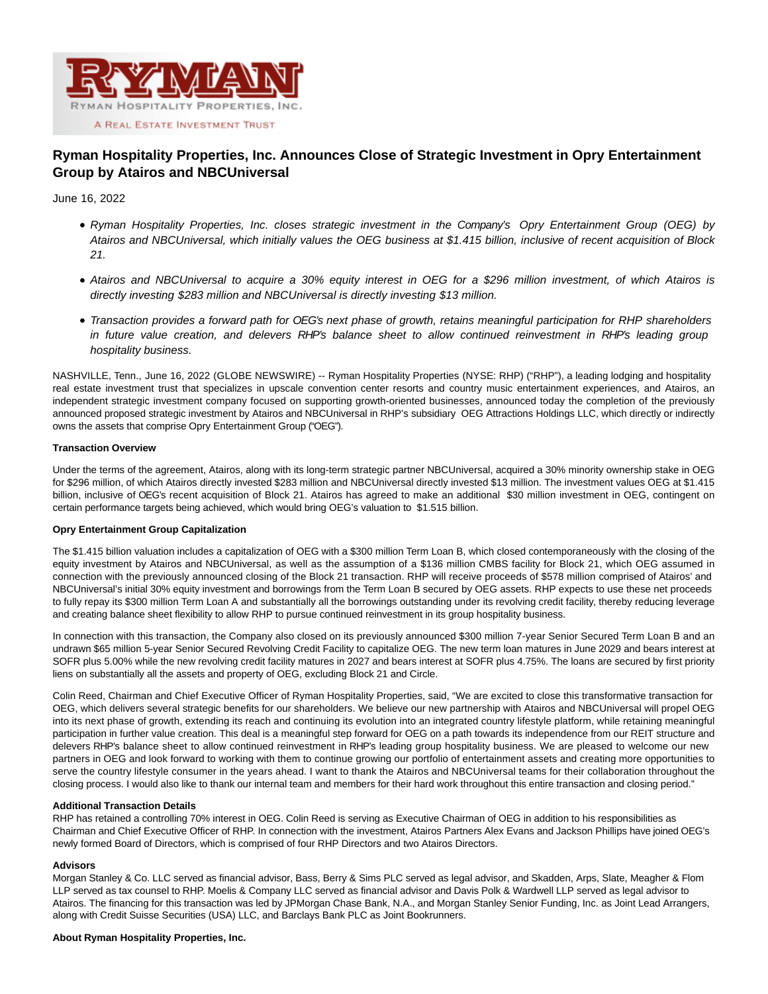

# **Ryman Hospitality Properties, Inc. Announces Close of Strategic Investment in Opry Entertainment Group by Atairos and NBCUniversal**

# June 16, 2022

- Ryman Hospitality Properties, Inc. closes strategic investment in the Company's Opry Entertainment Group (OEG) by Atairos and NBCUniversal, which initially values the OEG business at \$1.415 billion, inclusive of recent acquisition of Block 21.
- Atairos and NBCUniversal to acquire a 30% equity interest in OEG for a \$296 million investment, of which Atairos is directly investing \$283 million and NBCUniversal is directly investing \$13 million.
- Transaction provides a forward path for OEG's next phase of growth, retains meaningful participation for RHP shareholders in future value creation, and delevers RHP's balance sheet to allow continued reinvestment in RHP's leading group hospitality business.

NASHVILLE, Tenn., June 16, 2022 (GLOBE NEWSWIRE) -- Ryman Hospitality Properties (NYSE: RHP) ("RHP"), a leading lodging and hospitality real estate investment trust that specializes in upscale convention center resorts and country music entertainment experiences, and Atairos, an independent strategic investment company focused on supporting growth-oriented businesses, announced today the completion of the previously announced proposed strategic investment by Atairos and NBCUniversal in RHP's subsidiary OEG Attractions Holdings LLC, which directly or indirectly owns the assets that comprise Opry Entertainment Group ("OEG").

# **Transaction Overview**

Under the terms of the agreement, Atairos, along with its long-term strategic partner NBCUniversal, acquired a 30% minority ownership stake in OEG for \$296 million, of which Atairos directly invested \$283 million and NBCUniversal directly invested \$13 million. The investment values OEG at \$1.415 billion, inclusive of OEG's recent acquisition of Block 21. Atairos has agreed to make an additional \$30 million investment in OEG, contingent on certain performance targets being achieved, which would bring OEG's valuation to \$1.515 billion.

# **Opry Entertainment Group Capitalization**

The \$1.415 billion valuation includes a capitalization of OEG with a \$300 million Term Loan B, which closed contemporaneously with the closing of the equity investment by Atairos and NBCUniversal, as well as the assumption of a \$136 million CMBS facility for Block 21, which OEG assumed in connection with the previously announced closing of the Block 21 transaction. RHP will receive proceeds of \$578 million comprised of Atairos' and NBCUniversal's initial 30% equity investment and borrowings from the Term Loan B secured by OEG assets. RHP expects to use these net proceeds to fully repay its \$300 million Term Loan A and substantially all the borrowings outstanding under its revolving credit facility, thereby reducing leverage and creating balance sheet flexibility to allow RHP to pursue continued reinvestment in its group hospitality business.

In connection with this transaction, the Company also closed on its previously announced \$300 million 7-year Senior Secured Term Loan B and an undrawn \$65 million 5-year Senior Secured Revolving Credit Facility to capitalize OEG. The new term loan matures in June 2029 and bears interest at SOFR plus 5.00% while the new revolving credit facility matures in 2027 and bears interest at SOFR plus 4.75%. The loans are secured by first priority liens on substantially all the assets and property of OEG, excluding Block 21 and Circle.

Colin Reed, Chairman and Chief Executive Officer of Ryman Hospitality Properties, said, "We are excited to close this transformative transaction for OEG, which delivers several strategic benefits for our shareholders. We believe our new partnership with Atairos and NBCUniversal will propel OEG into its next phase of growth, extending its reach and continuing its evolution into an integrated country lifestyle platform, while retaining meaningful participation in further value creation. This deal is a meaningful step forward for OEG on a path towards its independence from our REIT structure and delevers RHP's balance sheet to allow continued reinvestment in RHP's leading group hospitality business. We are pleased to welcome our new partners in OEG and look forward to working with them to continue growing our portfolio of entertainment assets and creating more opportunities to serve the country lifestyle consumer in the years ahead. I want to thank the Atairos and NBCUniversal teams for their collaboration throughout the closing process. I would also like to thank our internal team and members for their hard work throughout this entire transaction and closing period."

# **Additional Transaction Details**

RHP has retained a controlling 70% interest in OEG. Colin Reed is serving as Executive Chairman of OEG in addition to his responsibilities as Chairman and Chief Executive Officer of RHP. In connection with the investment, Atairos Partners Alex Evans and Jackson Phillips have joined OEG's newly formed Board of Directors, which is comprised of four RHP Directors and two Atairos Directors.

# **Advisors**

Morgan Stanley & Co. LLC served as financial advisor, Bass, Berry & Sims PLC served as legal advisor, and Skadden, Arps, Slate, Meagher & Flom LLP served as tax counsel to RHP. Moelis & Company LLC served as financial advisor and Davis Polk & Wardwell LLP served as legal advisor to Atairos. The financing for this transaction was led by JPMorgan Chase Bank, N.A., and Morgan Stanley Senior Funding, Inc. as Joint Lead Arrangers, along with Credit Suisse Securities (USA) LLC, and Barclays Bank PLC as Joint Bookrunners.

# **About Ryman Hospitality Properties, Inc.**